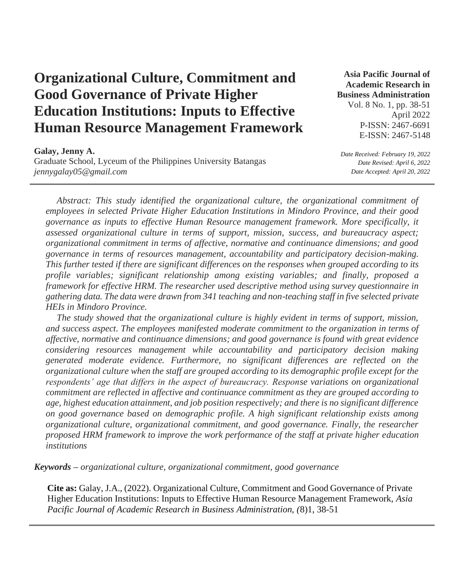# **Organizational Culture, Commitment and Good Governance of Private Higher Education Institutions: Inputs to Effective Human Resource Management Framework**

**Asia Pacific Journal of Academic Research in Business Administration**  Vol. 8 No. 1, pp. 38-51

> April 2022 P-ISSN: 2467-6691 E-ISSN: 2467-5148

**Galay, Jenny A.** 

Graduate School, Lyceum of the Philippines University Batangas *jennygalay05@gmail.com*

*Date Received: February 19, 2022 Date Revised: April 6, 2022 Date Accepted: April 20, 2022* 

*Abstract: This study identified the organizational culture, the organizational commitment of employees in selected Private Higher Education Institutions in Mindoro Province, and their good governance as inputs to effective Human Resource management framework. More specifically, it assessed organizational culture in terms of support, mission, success, and bureaucracy aspect; organizational commitment in terms of affective, normative and continuance dimensions; and good governance in terms of resources management, accountability and participatory decision-making. This further tested if there are significant differences on the responses when grouped according to its profile variables; significant relationship among existing variables; and finally, proposed a framework for effective HRM. The researcher used descriptive method using survey questionnaire in gathering data. The data were drawn from 341 teaching and non-teaching staff in five selected private HEIs in Mindoro Province.* 

*The study showed that the organizational culture is highly evident in terms of support, mission, and success aspect. The employees manifested moderate commitment to the organization in terms of affective, normative and continuance dimensions; and good governance is found with great evidence considering resources management while accountability and participatory decision making generated moderate evidence. Furthermore, no significant differences are reflected on the organizational culture when the staff are grouped according to its demographic profile except for the respondents' age that differs in the aspect of bureaucracy. Response variations on organizational commitment are reflected in affective and continuance commitment as they are grouped according to age, highest education attainment, and job position respectively; and there is no significant difference on good governance based on demographic profile. A high significant relationship exists among organizational culture, organizational commitment, and good governance. Finally, the researcher proposed HRM framework to improve the work performance of the staff at private higher education institutions*

*Keywords – organizational culture, organizational commitment, good governance*

**Cite as:** Galay, J.A., (2022). Organizational Culture, Commitment and Good Governance of Private Higher Education Institutions: Inputs to Effective Human Resource Management Framework, *Asia Pacific Journal of Academic Research in Business Administration, (*8)1, 38-51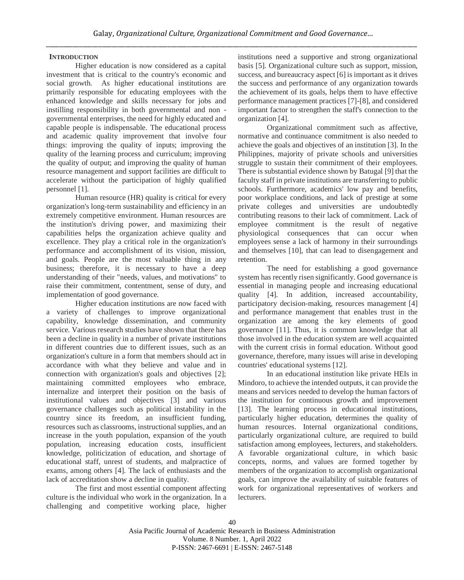# **INTRODUCTION**

Higher education is now considered as a capital investment that is critical to the country's economic and social growth. As higher educational institutions are primarily responsible for educating employees with the enhanced knowledge and skills necessary for jobs and instilling responsibility in both governmental and non governmental enterprises, the need for highly educated and capable people is indispensable. The educational process and academic quality improvement that involve four things: improving the quality of inputs; improving the quality of the learning process and curriculum; improving the quality of output; and improving the quality of human resource management and support facilities are difficult to accelerate without the participation of highly qualified personnel [1].

Human resource (HR) quality is critical for every organization's long-term sustainability and efficiency in an extremely competitive environment. Human resources are the institution's driving power, and maximizing their capabilities helps the organization achieve quality and excellence. They play a critical role in the organization's performance and accomplishment of its vision, mission, and goals. People are the most valuable thing in any business; therefore, it is necessary to have a deep understanding of their "needs, values, and motivations" to raise their commitment, contentment, sense of duty, and implementation of good governance.

Higher education institutions are now faced with a variety of challenges to improve organizational capability, knowledge dissemination, and community service. Various research studies have shown that there has been a decline in quality in a number of private institutions in different countries due to different issues, such as an organization's culture in a form that members should act in accordance with what they believe and value and in connection with organization's goals and objectives [2]; maintaining committed employees who embrace, internalize and interpret their position on the basis of institutional values and objectives [3] and various governance challenges such as political instability in the country since its freedom, an insufficient funding, resources such as classrooms, instructional supplies, and an increase in the youth population, expansion of the youth population, increasing education costs, insufficient knowledge, politicization of education, and shortage of educational staff, unrest of students, and malpractice of exams, among others [4]. The lack of enthusiasts and the lack of accreditation show a decline in quality.

The first and most essential component affecting culture is the individual who work in the organization. In a challenging and competitive working place, higher institutions need a supportive and strong organizational basis [5]. Organizational culture such as support, mission, success, and bureaucracy aspect [6] is important as it drives the success and performance of any organization towards the achievement of its goals, helps them to have effective performance management practices [7]-[8], and considered important factor to strengthen the staff's connection to the organization [4].

Organizational commitment such as affective, normative and continuance commitment is also needed to achieve the goals and objectives of an institution [3]. In the Philippines, majority of private schools and universities struggle to sustain their commitment of their employees. There is substantial evidence shown by Batugal [9] that the faculty staff in private institutions are transferring to public schools. Furthermore, academics' low pay and benefits, poor workplace conditions, and lack of prestige at some private colleges and universities are undoubtedly contributing reasons to their lack of commitment. Lack of employee commitment is the result of negative physiological consequences that can occur when employees sense a lack of harmony in their surroundings and themselves [10], that can lead to disengagement and retention.

The need for establishing a good governance system has recently risen significantly. Good governance is essential in managing people and increasing educational quality [4]. In addition, increased accountability, participatory decision-making, resources management [4] and performance management that enables trust in the organization are among the key elements of good governance [11]. Thus, it is common knowledge that all those involved in the education system are well acquainted with the current crisis in formal education. Without good governance, therefore, many issues will arise in developing countries' educational systems [12].

In an educational institution like private HEIs in Mindoro, to achieve the intended outputs, it can provide the means and services needed to develop the human factors of the institution for continuous growth and improvement [13]. The learning process in educational institutions, particularly higher education, determines the quality of human resources. Internal organizational conditions, particularly organizational culture, are required to build satisfaction among employees, lecturers, and stakeholders. A favorable organizational culture, in which basic concepts, norms, and values are formed together by members of the organization to accomplish organizational goals, can improve the availability of suitable features of work for organizational representatives of workers and lecturers.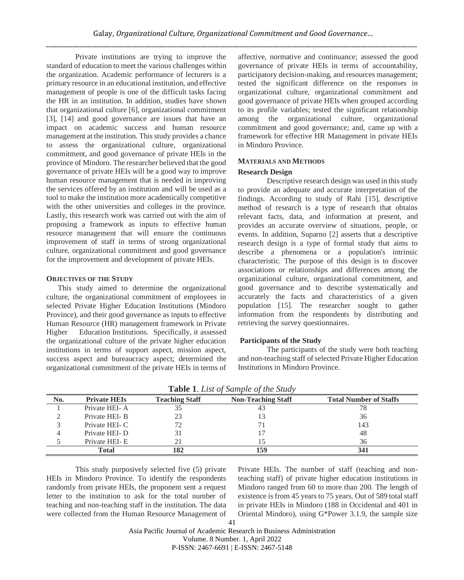Private institutions are trying to improve the standard of education to meet the various challenges within the organization. Academic performance of lecturers is a primary resource in an educational institution, and effective management of people is one of the difficult tasks facing the HR in an institution. In addition, studies have shown that organizational culture [6], organizational commitment [3], [14] and good governance are issues that have an impact on academic success and human resource management at the institution. This study provides a chance to assess the organizational culture, organizational commitment, and good governance of private HEIs in the province of Mindoro. The researcher believed that the good governance of private HEIs will be a good way to improve human resource management that is needed in improving the services offered by an institution and will be used as a tool to make the institution more academically competitive with the other universities and colleges in the province. Lastly, this research work was carried out with the aim of proposing a framework as inputs to effective human resource management that will ensure the continuous improvement of staff in terms of strong organizational culture, organizational commitment and good governance for the improvement and development of private HEIs.

## **OBJECTIVES OF THE STUDY**

This study aimed to determine the organizational culture, the organizational commitment of employees in selected Private Higher Education Institutions (Mindoro Province), and their good governance as inputs to effective Human Resource (HR) management framework in Private Higher Education Institutions. Specifically, it assessed the organizational culture of the private higher education institutions in terms of support aspect, mission aspect, success aspect and bureaucracy aspect; determined the organizational commitment of the private HEIs in terms of

affective, normative and continuance; assessed the good governance of private HEIs in terms of accountability, participatory decision-making, and resources management; tested the significant difference on the responses in organizational culture, organizational commitment and good governance of private HEIs when grouped according to its profile variables; tested the significant relationship among the organizational culture, organizational commitment and good governance; and, came up with a framework for effective HR Management in private HEIs in Mindoro Province.

# **MATERIALS AND METHODS**

## **Research Design**

Descriptive research design was used in this study to provide an adequate and accurate interpretation of the findings. According to study of Rahi [15], descriptive method of research is a type of research that obtains relevant facts, data, and information at present, and provides an accurate overview of situations, people, or events. In addition, Suparno [2] asserts that a descriptive research design is a type of formal study that aims to describe a phenomena or a population's intrinsic characteristic. The purpose of this design is to discover associations or relationships and differences among the organizational culture, organizational commitment, and good governance and to describe systematically and accurately the facts and characteristics of a given population [15]. The researcher sought to gather information from the respondents by distributing and retrieving the survey questionnaires.

# **Participants of the Study**

The participants of the study were both teaching and non-teaching staff of selected Private Higher Education Institutions in Mindoro Province.

| No. | <b>Private HEIs</b> | <b>Teaching Staff</b> | <b>Non-Teaching Staff</b> | <b>Total Number of Staffs</b> |
|-----|---------------------|-----------------------|---------------------------|-------------------------------|
|     | Private HEI-A       | 35                    | 43                        |                               |
|     | Private HEI-B       | 23                    |                           | 36                            |
|     | Private HEI- C      | 70                    |                           | 143                           |
|     | Private HEI-D       | 31                    |                           | 48                            |
|     | Private HEI-E       | 21                    |                           | 36                            |
|     | Total               | 182                   |                           |                               |

**Table 1**. *List of Sample of the Study*

This study purposively selected five (5) private HEIs in Mindoro Province. To identify the respondents randomly from private HEIs, the proponent sent a request letter to the institution to ask for the total number of teaching and non-teaching staff in the institution. The data were collected from the Human Resource Management of Private HEIs. The number of staff (teaching and nonteaching staff) of private higher education institutions in Mindoro ranged from 60 to more than 200. The length of existence is from 45 years to 75 years. Out of 589 total staff in private HEIs in Mindoro (188 in Occidental and 401 in Oriental Mindoro), using G\*Power 3.1.9, the sample size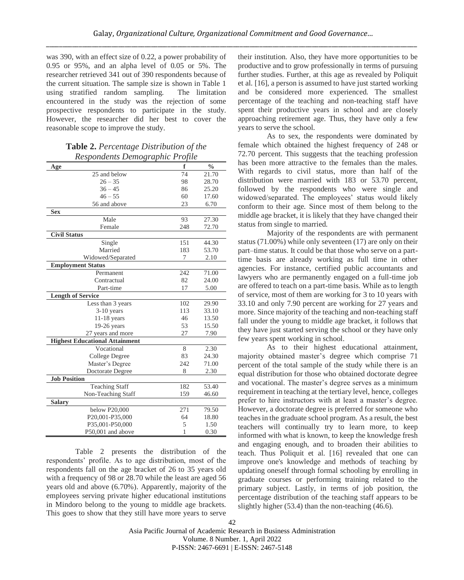was 390, with an effect size of 0.22, a power probability of 0.95 or 95%, and an alpha level of 0.05 or 5%. The researcher retrieved 341 out of 390 respondents because of the current situation. The sample size is shown in Table 1 using stratified random sampling. The limitation encountered in the study was the rejection of some prospective respondents to participate in the study. However, the researcher did her best to cover the reasonable scope to improve the study.

| <b>Table 2.</b> Percentage Distribution of the |  |
|------------------------------------------------|--|
| Respondents Demographic Profile                |  |

| Age                                   | f   | $\frac{0}{0}$ |
|---------------------------------------|-----|---------------|
| 25 and below                          | 74  | 21.70         |
| $26 - 35$                             | 98  | 28.70         |
| $36 - 45$                             | 86  | 25.20         |
| $46 - 55$                             | 60  | 17.60         |
| 56 and above                          | 23  | 6.70          |
| <b>Sex</b>                            |     |               |
| Male                                  | 93  | 27.30         |
| Female                                | 248 | 72.70         |
| <b>Civil Status</b>                   |     |               |
| Single                                | 151 | 44.30         |
| Married                               | 183 | 53.70         |
| Widowed/Separated                     | 7   | 2.10          |
| <b>Employment Status</b>              |     |               |
| Permanent                             | 242 | 71.00         |
| Contractual                           | 82  | 24.00         |
| Part-time                             | 17  | 5.00          |
| <b>Length of Service</b>              |     |               |
| Less than 3 years                     | 102 | 29.90         |
| $3-10$ years                          | 113 | 33.10         |
| $11-18$ years                         | 46  | 13.50         |
| $19-26$ years                         | 53  | 15.50         |
| 27 years and more                     | 27  | 7.90          |
| <b>Highest Educational Attainment</b> |     |               |
| Vocational                            | 8   | 2.30          |
| College Degree                        | 83  | 24.30         |
| Master's Degree                       | 242 | 71.00         |
| Doctorate Degree                      | 8   | 2.30          |
| <b>Job Position</b>                   |     |               |
| <b>Teaching Staff</b>                 | 182 | 53.40         |
| Non-Teaching Staff                    | 159 | 46.60         |
| <b>Salary</b>                         |     |               |
| below P20,000                         | 271 | 79.50         |
| P20,001-P35,000                       | 64  | 18.80         |
| P35,001-P50,000                       | 5   | 1.50          |
| P50,001 and above                     | 1   | 0.30          |

Table 2 presents the distribution of the respondents' profile. As to age distribution, most of the respondents fall on the age bracket of 26 to 35 years old with a frequency of 98 or 28.70 while the least are aged 56 years old and above (6.70%). Apparently, majority of the employees serving private higher educational institutions in Mindoro belong to the young to middle age brackets. This goes to show that they still have more years to serve their institution. Also, they have more opportunities to be productive and to grow professionally in terms of pursuing further studies. Further, at this age as revealed by Poliquit et al. [16], a person is assumed to have just started working and be considered more experienced. The smallest percentage of the teaching and non-teaching staff have spent their productive years in school and are closely approaching retirement age. Thus, they have only a few years to serve the school.

As to sex, the respondents were dominated by female which obtained the highest frequency of 248 or 72.70 percent. This suggests that the teaching profession has been more attractive to the females than the males. With regards to civil status, more than half of the distribution were married with 183 or 53.70 percent, followed by the respondents who were single and widowed/separated. The employees' status would likely conform to their age. Since most of them belong to the middle age bracket, it is likely that they have changed their status from single to married.

Majority of the respondents are with permanent status (71.00%) while only seventeen (17) are only on their part–time status. It could be that those who serve on a parttime basis are already working as full time in other agencies. For instance, certified public accountants and lawyers who are permanently engaged on a full-time job are offered to teach on a part-time basis. While as to length of service, most of them are working for 3 to 10 years with 33.10 and only 7.90 percent are working for 27 years and more. Since majority of the teaching and non-teaching staff fall under the young to middle age bracket, it follows that they have just started serving the school or they have only few years spent working in school.

As to their highest educational attainment, majority obtained master's degree which comprise 71 percent of the total sample of the study while there is an equal distribution for those who obtained doctorate degree and vocational. The master's degree serves as a minimum requirement in teaching at the tertiary level, hence, colleges prefer to hire instructors with at least a master's degree. However, a doctorate degree is preferred for someone who teaches in the graduate school program. As a result, the best teachers will continually try to learn more, to keep informed with what is known, to keep the knowledge fresh and engaging enough, and to broaden their abilities to teach. Thus Poliquit et al. [16] revealed that one can improve one's knowledge and methods of teaching by updating oneself through formal schooling by enrolling in graduate courses or performing training related to the primary subject. Lastly, in terms of job position, the percentage distribution of the teaching staff appears to be slightly higher (53.4) than the non-teaching (46.6).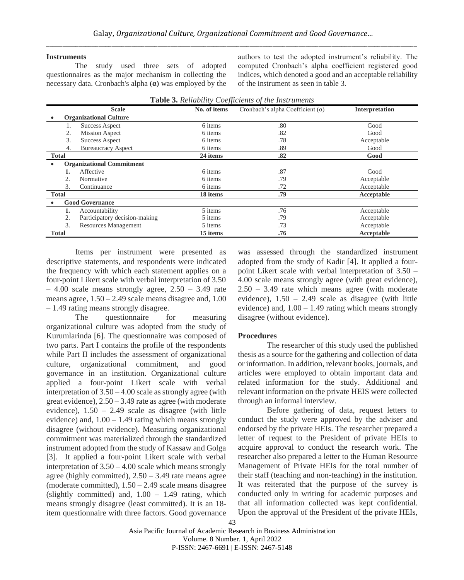## **Instruments**

The study used three sets of adopted questionnaires as the major mechanism in collecting the necessary data. Cronbach's alpha **(α)** was employed by the authors to test the adopted instrument's reliability. The computed Cronbach's alpha coefficient registered good indices, which denoted a good and an acceptable reliability of the instrument as seen in table 3.

|              | <b>Scale</b>                     | JJ<br>No. of items | Cronbach's alpha Coefficient $(\alpha)$ | <b>Interpretation</b> |
|--------------|----------------------------------|--------------------|-----------------------------------------|-----------------------|
|              | <b>Organizational Culture</b>    |                    |                                         |                       |
|              | <b>Success Aspect</b>            | 6 items            | .80                                     | Good                  |
| 2.           | <b>Mission Aspect</b>            | 6 items            | .82                                     | Good                  |
| 3.           | <b>Success Aspect</b>            | 6 items            | .78                                     | Acceptable            |
| 4.           | <b>Bureaucracy Aspect</b>        | 6 items            | .89                                     | Good                  |
| <b>Total</b> |                                  | 24 items           | .82                                     | Good                  |
|              | <b>Organizational Commitment</b> |                    |                                         |                       |
| 1.           | Affective                        | 6 items            | .87                                     | Good                  |
| 2.           | Normative                        | 6 items            | .79                                     | Acceptable            |
| 3.           | Continuance                      | 6 items            | .72                                     | Acceptable            |
| <b>Total</b> |                                  | 18 items           | .79                                     | Acceptable            |
|              | <b>Good Governance</b>           |                    |                                         |                       |
| 1.           | Accountability                   | 5 items            | .76                                     | Acceptable            |
| 2.           | Participatory decision-making    | 5 items            | .79                                     | Acceptable            |
| 3.           | Resources Management             | 5 items            | .73                                     | Acceptable            |
| <b>Total</b> |                                  | 15 items           | .76                                     | Acceptable            |

|  |  | Table 3. Reliability Coefficients of the Instruments |
|--|--|------------------------------------------------------|
|  |  |                                                      |

Items per instrument were presented as descriptive statements, and respondents were indicated the frequency with which each statement applies on a four-point Likert scale with verbal interpretation of 3.50  $-4.00$  scale means strongly agree,  $2.50 - 3.49$  rate means agree,  $1.50 - 2.49$  scale means disagree and,  $1.00$ – 1.49 rating means strongly disagree.

The questionnaire for measuring organizational culture was adopted from the study of Kurumlarinda [6]. The questionnaire was composed of two parts. Part I contains the profile of the respondents while Part II includes the assessment of organizational culture, organizational commitment, and good governance in an institution. Organizational culture applied a four-point Likert scale with verbal interpretation of 3.50 – 4.00 scale as strongly agree (with great evidence),  $2.50 - 3.49$  rate as agree (with moderate evidence), 1.50 – 2.49 scale as disagree (with little evidence) and,  $1.00 - 1.49$  rating which means strongly disagree (without evidence). Measuring organizational commitment was materialized through the standardized instrument adopted from the study of Kassaw and Golga [3]. It applied a four-point Likert scale with verbal interpretation of 3.50 – 4.00 scale which means strongly agree (highly committed),  $2.50 - 3.49$  rate means agree (moderate committed),  $1.50 - 2.49$  scale means disagree (slightly committed) and,  $1.00 - 1.49$  rating, which means strongly disagree (least committed). It is an 18 item questionnaire with three factors. Good governance was assessed through the standardized instrument adopted from the study of Kadir [4]. It applied a fourpoint Likert scale with verbal interpretation of 3.50 – 4.00 scale means strongly agree (with great evidence), 2.50 – 3.49 rate which means agree (with moderate evidence),  $1.50 - 2.49$  scale as disagree (with little evidence) and,  $1.00 - 1.49$  rating which means strongly disagree (without evidence).

## **Procedures**

The researcher of this study used the published thesis as a source for the gathering and collection of data or information. In addition, relevant books, journals, and articles were employed to obtain important data and related information for the study. Additional and relevant information on the private HEIS were collected through an informal interview.

Before gathering of data, request letters to conduct the study were approved by the adviser and endorsed by the private HEIs. The researcher prepared a letter of request to the President of private HEIs to acquire approval to conduct the research work. The researcher also prepared a letter to the Human Resource Management of Private HEIs for the total number of their staff (teaching and non-teaching) in the institution. It was reiterated that the purpose of the survey is conducted only in writing for academic purposes and that all information collected was kept confidential. Upon the approval of the President of the private HEIs,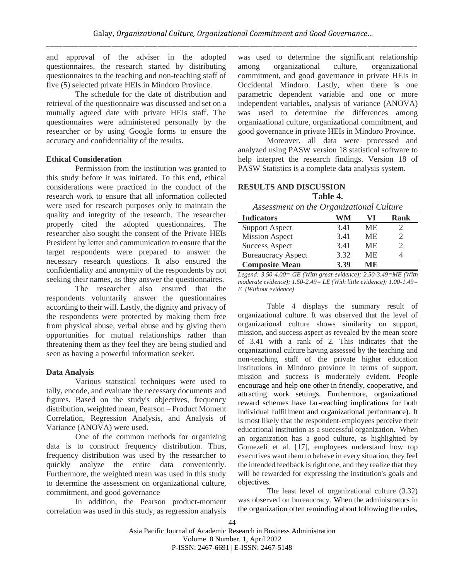and approval of the adviser in the adopted questionnaires, the research started by distributing questionnaires to the teaching and non-teaching staff of five (5) selected private HEIs in Mindoro Province.

The schedule for the date of distribution and retrieval of the questionnaire was discussed and set on a mutually agreed date with private HEIs staff. The questionnaires were administered personally by the researcher or by using Google forms to ensure the accuracy and confidentiality of the results.

## **Ethical Consideration**

Permission from the institution was granted to this study before it was initiated. To this end, ethical considerations were practiced in the conduct of the research work to ensure that all information collected were used for research purposes only to maintain the quality and integrity of the research. The researcher properly cited the adopted questionnaires. The researcher also sought the consent of the Private HEIs President by letter and communication to ensure that the target respondents were prepared to answer the necessary research questions. It also ensured the confidentiality and anonymity of the respondents by not seeking their names, as they answer the questionnaires.

The researcher also ensured that the respondents voluntarily answer the questionnaires according to their will. Lastly, the dignity and privacy of the respondents were protected by making them free from physical abuse, verbal abuse and by giving them opportunities for mutual relationships rather than threatening them as they feel they are being studied and seen as having a powerful information seeker.

## **Data Analysis**

Various statistical techniques were used to tally, encode, and evaluate the necessary documents and figures. Based on the study's objectives, frequency distribution, weighted mean, Pearson - Product Moment Correlation, Regression Analysis, and Analysis of Variance (ANOVA) were used.

One of the common methods for organizing data is to construct frequency distribution. Thus, frequency distribution was used by the researcher to quickly analyze the entire data conveniently. Furthermore, the weighted mean was used in this study to determine the assessment on organizational culture, commitment, and good governance

In addition, the Pearson product-moment correlation was used in this study, as regression analysis was used to determine the significant relationship among organizational culture, organizational commitment, and good governance in private HEIs in Occidental Mindoro. Lastly, when there is one parametric dependent variable and one or more independent variables, analysis of variance (ANOVA) was used to determine the differences among organizational culture, organizational commitment, and good governance in private HEIs in Mindoro Province.

Moreover, all data were processed and analyzed using PASW version 18 statistical software to help interpret the research findings. Version 18 of PASW Statistics is a complete data analysis system.

## **RESULTS AND DISCUSSION**

**Table 4.**

| Assessment on the Organizational Culture |      |           |                             |  |  |
|------------------------------------------|------|-----------|-----------------------------|--|--|
| <b>Indicators</b>                        | WM   | VI        | Rank                        |  |  |
| <b>Support Aspect</b>                    | 3.41 | МE        |                             |  |  |
| <b>Mission Aspect</b>                    | 3.41 | <b>ME</b> | $\mathcal{D}_{\mathcal{A}}$ |  |  |
| <b>Success Aspect</b>                    | 3.41 | <b>ME</b> | $\mathcal{D}_{\mathcal{A}}$ |  |  |
| <b>Bureaucracy Aspect</b>                | 3.32 | <b>ME</b> |                             |  |  |
| <b>Composite Mean</b>                    | 3.39 | MF.       |                             |  |  |

*Legend: 3.50-4.00= GE (With great evidence); 2.50-3.49=ME (With moderate evidence); 1.50-2.49= LE (With little evidence); 1.00-1.49= E (Without evidence)*

Table 4 displays the summary result of organizational culture. It was observed that the level of organizational culture shows similarity on support, mission, and success aspect as revealed by the mean score of 3.41 with a rank of 2. This indicates that the organizational culture having assessed by the teaching and non-teaching staff of the private higher education institutions in Mindoro province in terms of support, mission and success is moderately evident. People encourage and help one other in friendly, cooperative, and attracting work settings. Furthermore, organizational reward schemes have far-reaching implications for both individual fulfillment and organizational performance). It is most likely that the respondent-employees perceive their educational institution as a successful organization. When an organization has a good culture, as highlighted by Gomezeli et al. [17], employees understand how top executives want them to behave in every situation, they feel the intended feedback is right one, and they realize that they will be rewarded for expressing the institution's goals and objectives.

The least level of organizational culture (3.32) was observed on bureaucracy. When the administrators in the organization often reminding about following the rules,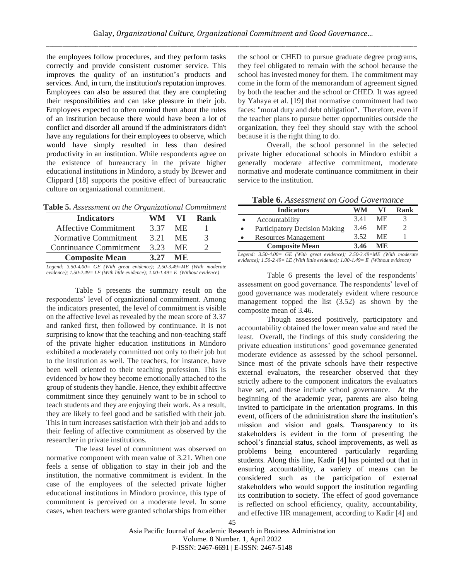the employees follow procedures, and they perform tasks correctly and provide consistent customer service. This improves the quality of an institution's products and services. And, in turn, the institution's reputation improves. Employees can also be assured that they are completing their responsibilities and can take pleasure in their job. Employees expected to often remind them about the rules of an institution because there would have been a lot of conflict and disorder all around if the administrators didn't have any regulations for their employees to observe, which would have simply resulted in less than desired productivity in an institution. While respondents agree on the existence of bureaucracy in the private higher educational institutions in Mindoro, a study by Brewer and Clippard [18] supports the positive effect of bureaucratic culture on organizational commitment.

**Table 5.** *Assessment on the Organizational Commitment*

| <b>Indicators</b>      | WM   | VI  | Rank |
|------------------------|------|-----|------|
| Affective Commitment   | 3 37 | ME. |      |
| Normative Commitment   | 3.21 | ME. |      |
| Continuance Commitment | 3.23 | ME. |      |
| <b>Composite Mean</b>  | 3.27 | MF. |      |

Legend: 3.50-4.00= GE (With great evidence); 2.50-3.49=ME (With moderate *evidence); 1.50-2.49= LE (With little evidence); 1.00-1.49= E (Without evidence)*

Table 5 presents the summary result on the respondents' level of organizational commitment. Among the indicators presented, the level of commitment is visible on the affective level as revealed by the mean score of 3.37 and ranked first, then followed by continuance. It is not surprising to know that the teaching and non-teaching staff of the private higher education institutions in Mindoro exhibited a moderately committed not only to their job but to the institution as well. The teachers, for instance, have been well oriented to their teaching profession. This is evidenced by how they become emotionally attached to the group of students they handle. Hence, they exhibit affective commitment since they genuinely want to be in school to teach students and they are enjoying their work. As a result, they are likely to feel good and be satisfied with their job. This in turn increases satisfaction with their job and adds to their feeling of affective commitment as observed by the researcher in private institutions.

The least level of commitment was observed on normative component with mean value of 3.21. When one feels a sense of obligation to stay in their job and the institution, the normative commitment is evident. In the case of the employees of the selected private higher educational institutions in Mindoro province, this type of commitment is perceived on a moderate level. In some cases, when teachers were granted scholarships from either the school or CHED to pursue graduate degree programs, they feel obligated to remain with the school because the school has invested money for them. The commitment may come in the form of the memorandum of agreement signed by both the teacher and the school or CHED. It was agreed by Yahaya et al. [19] that normative commitment had two faces: "moral duty and debt obligation". Therefore, even if the teacher plans to pursue better opportunities outside the organization, they feel they should stay with the school because it is the right thing to do.

Overall, the school personnel in the selected private higher educational schools in Mindoro exhibit a generally moderate affective commitment, moderate normative and moderate continuance commitment in their service to the institution.

**Table 6.** *Assessment on Good Governance*

| A WAXAY YI LADDUDDIINOIN OIN YOUW YOU NINGHING |      |     |      |  |
|------------------------------------------------|------|-----|------|--|
| <b>Indicators</b>                              | WM   | VI  | Rank |  |
| Accountability                                 | 3.41 | ME. |      |  |
| Participatory Decision Making                  | 3.46 | ME. |      |  |
| Resources Management                           | 3.52 | ME. |      |  |
| <b>Composite Mean</b>                          | 3.46 | MF. |      |  |
| $\sim$ $\sim$                                  |      |     |      |  |

*Legend: 3.50-4.00= GE (With great evidence); 2.50-3.49=ME (With moderate evidence); 1.50-2.49= LE (With little evidence); 1.00-1.49= E (Without evidence)*

Table 6 presents the level of the respondents' assessment on good governance. The respondents' level of good governance was moderately evident where resource management topped the list (3.52) as shown by the composite mean of 3.46.

Though assessed positively, participatory and accountability obtained the lower mean value and rated the least. Overall, the findings of this study considering the private education institutions' good governance generated moderate evidence as assessed by the school personnel. Since most of the private schools have their respective external evaluators, the researcher observed that they strictly adhere to the component indicators the evaluators have set, and these include school governance. At the beginning of the academic year, parents are also being invited to participate in the orientation programs. In this event, officers of the administration share the institution's mission and vision and goals. Transparency to its stakeholders is evident in the form of presenting the school's financial status, school improvements, as well as problems being encountered particularly regarding students. Along this line, Kadir [4] has pointed out that in ensuring accountability, a variety of means can be considered such as the participation of external stakeholders who would support the institution regarding its contribution to society. The effect of good governance is reflected on school efficiency, quality, accountability, and effective HR management, according to Kadir [4] and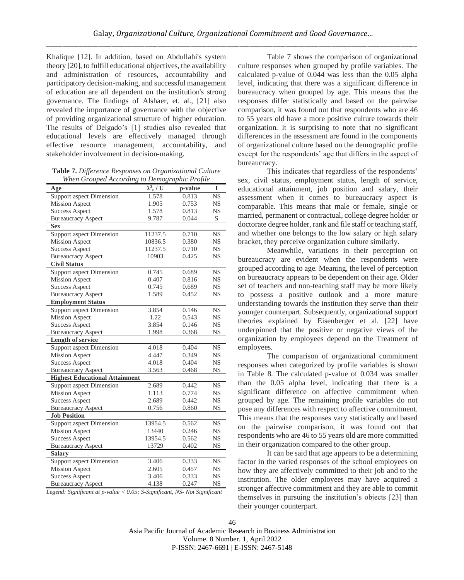Khalique [12]. In addition, based on Abdullahi's system theory [20], to fulfill educational objectives, the availability and administration of resources, accountability and participatory decision-making, and successful management of education are all dependent on the institution's strong governance. The findings of Alshaer, et. al., [21] also revealed the importance of governance with the objective of providing organizational structure of higher education. The results of Delgado's [1] studies also revealed that educational levels are effectively managed through effective resource management, accountability, and stakeholder involvement in decision-making.

| <b>Table 7.</b> Difference Responses on Organizational Culture |
|----------------------------------------------------------------|
| When Grouped According to Demographic Profile                  |

| Age                                   | $\lambda_c^2$ / U | p-value | I         |
|---------------------------------------|-------------------|---------|-----------|
| Support aspect Dimension              | 1.578             | 0.813   | <b>NS</b> |
| <b>Mission Aspect</b>                 | 1.905             | 0.753   | <b>NS</b> |
| <b>Success Aspect</b>                 | 1.578             | 0.813   | <b>NS</b> |
| <b>Bureaucracy Aspect</b>             | 9.787             | 0.044   | S         |
| <b>Sex</b>                            |                   |         |           |
| <b>Support aspect Dimension</b>       | 11237.5           | 0.710   | <b>NS</b> |
| <b>Mission Aspect</b>                 | 10836.5           | 0.380   | <b>NS</b> |
| <b>Success Aspect</b>                 | 11237.5           | 0.710   | <b>NS</b> |
| <b>Bureaucracy Aspect</b>             | 10903             | 0.425   | NS        |
| <b>Civil Status</b>                   |                   |         |           |
| <b>Support aspect Dimension</b>       | 0.745             | 0.689   | <b>NS</b> |
| <b>Mission Aspect</b>                 | 0.407             | 0.816   | <b>NS</b> |
| <b>Success Aspect</b>                 | 0.745             | 0.689   | <b>NS</b> |
| <b>Bureaucracy Aspect</b>             | 1.589             | 0.452   | NS        |
| <b>Employment Status</b>              |                   |         |           |
| Support aspect Dimension              | 3.854             | 0.146   | <b>NS</b> |
| <b>Mission Aspect</b>                 | 1.22              | 0.543   | <b>NS</b> |
| <b>Success Aspect</b>                 | 3.854             | 0.146   | <b>NS</b> |
| <b>Bureaucracy Aspect</b>             | 1.998             | 0.368   | <b>NS</b> |
| <b>Length of service</b>              |                   |         |           |
| <b>Support aspect Dimension</b>       | 4.018             | 0.404   | <b>NS</b> |
| <b>Mission Aspect</b>                 | 4.447             | 0.349   | <b>NS</b> |
| <b>Success Aspect</b>                 | 4.018             | 0.404   | <b>NS</b> |
| <b>Bureaucracy Aspect</b>             | 3.563             | 0.468   | <b>NS</b> |
| <b>Highest Educational Attainment</b> |                   |         |           |
| <b>Support aspect Dimension</b>       | 2.689             | 0.442   | <b>NS</b> |
| <b>Mission Aspect</b>                 | 1.113             | 0.774   | <b>NS</b> |
| <b>Success Aspect</b>                 | 2.689             | 0.442   | <b>NS</b> |
| <b>Bureaucracy Aspect</b>             | 0.756             | 0.860   | <b>NS</b> |
| <b>Job Position</b>                   |                   |         |           |
| Support aspect Dimension              | 13954.5           | 0.562   | <b>NS</b> |
| <b>Mission Aspect</b>                 | 13440             | 0.246   | <b>NS</b> |
| <b>Success Aspect</b>                 | 13954.5           | 0.562   | <b>NS</b> |
| <b>Bureaucracy Aspect</b>             | 13729             | 0.402   | <b>NS</b> |
| <b>Salary</b>                         |                   |         |           |
| Support aspect Dimension              | 3.406             | 0.333   | <b>NS</b> |
| <b>Mission Aspect</b>                 | 2.605             | 0.457   | <b>NS</b> |
| <b>Success Aspect</b>                 | 3.406             | 0.333   | <b>NS</b> |
| <b>Bureaucracy Aspect</b>             | 4.138             | 0.247   | <b>NS</b> |

*Legend: Significant at p-value < 0.05; S-Significant, NS- Not Significant*

Table 7 shows the comparison of organizational culture responses when grouped by profile variables. The calculated p-value of 0.044 was less than the 0.05 alpha level, indicating that there was a significant difference in bureaucracy when grouped by age. This means that the responses differ statistically and based on the pairwise comparison, it was found out that respondents who are 46 to 55 years old have a more positive culture towards their organization. It is surprising to note that no significant differences in the assessment are found in the components of organizational culture based on the demographic profile except for the respondents' age that differs in the aspect of bureaucracy.

This indicates that regardless of the respondents' sex, civil status, employment status, length of service, educational attainment, job position and salary, their assessment when it comes to bureaucracy aspect is comparable. This means that male or female, single or married, permanent or contractual, college degree holder or doctorate degree holder, rank and file staff or teaching staff, and whether one belongs to the low salary or high salary bracket, they perceive organization culture similarly.

Meanwhile, variations in their perception on bureaucracy are evident when the respondents were grouped according to age. Meaning, the level of perception on bureaucracy appears to be dependent on their age. Older set of teachers and non-teaching staff may be more likely to possess a positive outlook and a more mature understanding towards the institution they serve than their younger counterpart. Subsequently, organizational support theories explained by Eisenberger et al. [22] have underpinned that the positive or negative views of the organization by employees depend on the Treatment of employees.

The comparison of organizational commitment responses when categorized by profile variables is shown in Table 8. The calculated p-value of 0.034 was smaller than the 0.05 alpha level, indicating that there is a significant difference on affective commitment when grouped by age. The remaining profile variables do not pose any differences with respect to affective commitment. This means that the responses vary statistically and based on the pairwise comparison, it was found out that respondents who are 46 to 55 years old are more committed in their organization compared to the other group.

It can be said that age appears to be a determining factor in the varied responses of the school employees on how they are affectively committed to their job and to the institution. The older employees may have acquired a stronger affective commitment and they are able to commit themselves in pursuing the institution's objects [23] than their younger counterpart.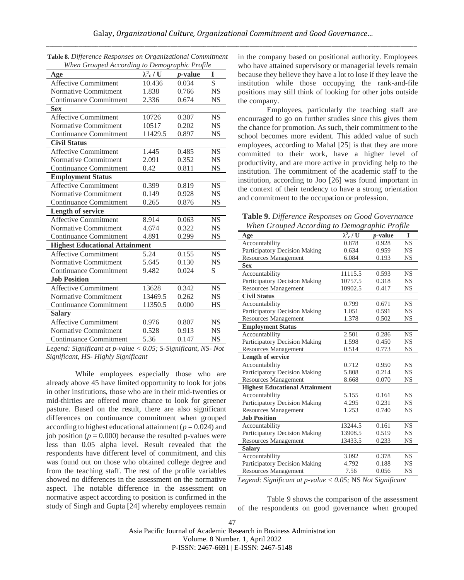| When Grouped According to Demographic Profile |                   |                 |           |  |
|-----------------------------------------------|-------------------|-----------------|-----------|--|
| Age                                           | $\lambda^2$ c / U | <i>p</i> -value | I         |  |
| <b>Affective Commitment</b>                   | 10.436            | 0.034           | S         |  |
| <b>Normative Commitment</b>                   | 1.838             | 0.766           | <b>NS</b> |  |
| <b>Continuance Commitment</b>                 | 2.336             | 0.674           | <b>NS</b> |  |
| <b>Sex</b>                                    |                   |                 |           |  |
| <b>Affective Commitment</b>                   | 10726             | 0.307           | <b>NS</b> |  |
| Normative Commitment                          | 10517             | 0.202           | <b>NS</b> |  |
| <b>Continuance Commitment</b>                 | 11429.5           | 0.897           | NS        |  |
| <b>Civil Status</b>                           |                   |                 |           |  |
| <b>Affective Commitment</b>                   | 1.445             | 0.485           | <b>NS</b> |  |
| Normative Commitment                          | 2.091             | 0.352           | <b>NS</b> |  |
| Continuance Commitment                        | 0.42              | 0.811           | <b>NS</b> |  |
| <b>Employment Status</b>                      |                   |                 |           |  |
| <b>Affective Commitment</b>                   | 0.399             | 0.819           | <b>NS</b> |  |
| Normative Commitment                          | 0.149             | 0.928           | NS        |  |
| <b>Continuance Commitment</b>                 | 0.265             | 0.876           | <b>NS</b> |  |
| <b>Length of service</b>                      |                   |                 |           |  |
| <b>Affective Commitment</b>                   | 8.914             | 0.063           | <b>NS</b> |  |
| <b>Normative Commitment</b>                   | 4.674             | 0.322           | <b>NS</b> |  |
| Continuance Commitment                        | 4.891             | 0.299           | NS        |  |
| <b>Highest Educational Attainment</b>         |                   |                 |           |  |
| Affective Commitment                          | 5.24              | 0.155           | <b>NS</b> |  |
| <b>Normative Commitment</b>                   | 5.645             | 0.130           | <b>NS</b> |  |
| Continuance Commitment                        | 9.482             | 0.024           | S         |  |
| <b>Job Position</b>                           |                   |                 |           |  |
| <b>Affective Commitment</b>                   | 13628             | 0.342           | <b>NS</b> |  |
| <b>Normative Commitment</b>                   | 13469.5           | 0.262           | <b>NS</b> |  |
| Continuance Commitment                        | 11350.5           | 0.000           | HS        |  |
| <b>Salary</b>                                 |                   |                 |           |  |
| Affective Commitment                          | 0.976             | 0.807           | <b>NS</b> |  |
| <b>Normative Commitment</b>                   | 0.528             | 0.913           | NS        |  |
| <b>Continuance Commitment</b>                 | 5.36              | 0.147           | NS        |  |

| <b>Table 8.</b> Difference Responses on Organizational Commitment |                                                                       |  |
|-------------------------------------------------------------------|-----------------------------------------------------------------------|--|
| When Grouped According to Demographic Profile                     |                                                                       |  |
|                                                                   | $\lambda$ $\lambda$ $\lambda$ $\lambda$ $\lambda$ $\lambda$ $\lambda$ |  |

*Legend: Significant at p-value < 0.05; S-Significant, NS- Not Significant, HS- Highly Significant*

While employees especially those who are already above 45 have limited opportunity to look for jobs in other institutions, those who are in their mid-twenties or mid-thirties are offered more chance to look for greener pasture. Based on the result, there are also significant differences on continuance commitment when grouped according to highest educational attainment ( $p = 0.024$ ) and job position ( $p = 0.000$ ) because the resulted p-values were less than 0.05 alpha level. Result revealed that the respondents have different level of commitment, and this was found out on those who obtained college degree and from the teaching staff. The rest of the profile variables showed no differences in the assessment on the normative aspect. The notable difference in the assessment on normative aspect according to position is confirmed in the study of Singh and Gupta [24] whereby employees remain

in the company based on positional authority. Employees who have attained supervisory or managerial levels remain because they believe they have a lot to lose if they leave the institution while those occupying the rank-and-file positions may still think of looking for other jobs outside the company.

Employees, particularly the teaching staff are encouraged to go on further studies since this gives them the chance for promotion. As such, their commitment to the school becomes more evident. This added value of such employees, according to Mahal [25] is that they are more committed to their work, have a higher level of productivity, and are more active in providing help to the institution. The commitment of the academic staff to the institution, according to Joo [26] was found important in the context of their tendency to have a strong orientation and commitment to the occupation or profession.

**Table 9.** *Difference Responses on Good Governance When Grouped According to Demographic Profile*

| Age                                   | $\lambda^2_{\rm c}$ / ${\rm U}$ | <i>p</i> -value | I         |
|---------------------------------------|---------------------------------|-----------------|-----------|
| Accountability                        | 0.878                           | 0.928           | <b>NS</b> |
| Participatory Decision Making         | 0.634                           | 0.959           | NS        |
| <b>Resources Management</b>           | 6.084                           | 0.193           | <b>NS</b> |
| <b>Sex</b>                            |                                 |                 |           |
| Accountability                        | 11115.5                         | 0.593           | <b>NS</b> |
| Participatory Decision Making         | 10757.5                         | 0.318           | NS        |
| <b>Resources Management</b>           | 10902.5                         | 0.417           | NS        |
| <b>Civil Status</b>                   |                                 |                 |           |
| Accountability                        | 0.799                           | 0.671           | <b>NS</b> |
| Participatory Decision Making         | 1.051                           | 0.591           | NS        |
| <b>Resources Management</b>           | 1.378                           | 0.502           | NS        |
| <b>Employment Status</b>              |                                 |                 |           |
| Accountability                        | 2.501                           | 0.286           | <b>NS</b> |
| Participatory Decision Making         | 1.598                           | 0.450           | <b>NS</b> |
| <b>Resources Management</b>           | 0.514                           | 0.773           | NS        |
| Length of service                     |                                 |                 |           |
| Accountability                        | 0.712                           | 0.950           | <b>NS</b> |
| Participatory Decision Making         | 5.808                           | 0.214           | NS        |
| Resources Management                  | 8.668                           | 0.070           | NS        |
| <b>Highest Educational Attainment</b> |                                 |                 |           |
| Accountability                        | 5.155                           | 0.161           | <b>NS</b> |
| Participatory Decision Making         | 4.295                           | 0.231           | <b>NS</b> |
| Resources Management                  | 1.253                           | 0.740           | <b>NS</b> |
| <b>Job Position</b>                   |                                 |                 |           |
| Accountability                        | 13244.5                         | 0.161           | <b>NS</b> |
| Participatory Decision Making         | 13908.5                         | 0.519           | NS        |
| <b>Resources Management</b>           | 13433.5                         | 0.233           | <b>NS</b> |
| <b>Salary</b>                         |                                 |                 |           |
| Accountability                        | 3.092                           | 0.378           | <b>NS</b> |
| Participatory Decision Making         | 4.792                           | 0.188           | NS        |
| <b>Resources Management</b>           | 7.56                            | 0.056           | <b>NS</b> |
|                                       |                                 |                 |           |

*Legend: Significant at p-value < 0.05;* NS *Not Significant*

Table 9 shows the comparison of the assessment of the respondents on good governance when grouped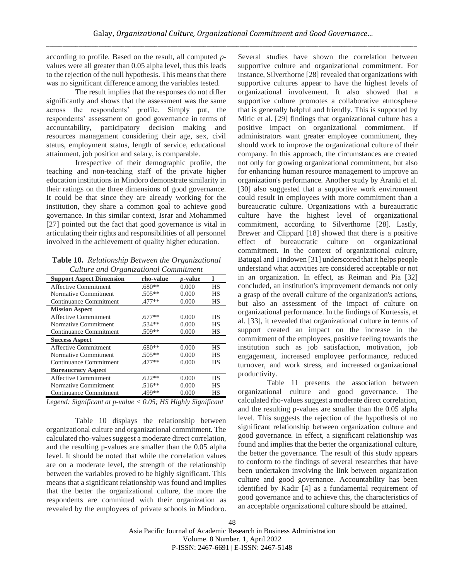according to profile. Based on the result, all computed *p*values were all greater than 0.05 alpha level, thus this leads to the rejection of the null hypothesis. This means that there was no significant difference among the variables tested.

The result implies that the responses do not differ significantly and shows that the assessment was the same across the respondents' profile. Simply put, the respondents' assessment on good governance in terms of accountability, participatory decision making and resources management considering their age, sex, civil status, employment status, length of service, educational attainment, job position and salary, is comparable.

Irrespective of their demographic profile, the teaching and non-teaching staff of the private higher education institutions in Mindoro demonstrate similarity in their ratings on the three dimensions of good governance. It could be that since they are already working for the institution, they share a common goal to achieve good governance. In this similar context, Israr and Mohammed [27] pointed out the fact that good governance is vital in articulating their rights and responsibilities of all personnel involved in the achievement of quality higher education.

**Table 10.** *Relationship Between the Organizational Culture and Organizational Commitment*

| <b>Support Aspect Dimension</b>                                  | rho-value                                                                                                 | <i>p</i> -value |                |
|------------------------------------------------------------------|-----------------------------------------------------------------------------------------------------------|-----------------|----------------|
| Affective Commitment                                             | $.680**$                                                                                                  | 0.000           | HS             |
| Normative Commitment                                             | .505**                                                                                                    | 0.000           | HS             |
| Continuance Commitment                                           | .477**                                                                                                    | 0.000           | HS             |
| <b>Mission Aspect</b>                                            |                                                                                                           |                 |                |
| Affective Commitment                                             | $.677**$                                                                                                  | 0.000           | <b>HS</b>      |
| Normative Commitment                                             | .534**                                                                                                    | 0.000           | <b>HS</b>      |
| Continuance Commitment                                           | $.509**$                                                                                                  | 0.000           | HS             |
| <b>Success Aspect</b>                                            |                                                                                                           |                 |                |
| Affective Commitment                                             | $.680**$                                                                                                  | 0.000           | <b>HS</b>      |
| Normative Commitment                                             | .505**                                                                                                    | 0.000           | <b>HS</b>      |
| Continuance Commitment                                           | .477**                                                                                                    | 0.000           | <b>HS</b>      |
| <b>Bureaucracy Aspect</b>                                        |                                                                                                           |                 |                |
| <b>Affective Commitment</b>                                      | $.622**$                                                                                                  | 0.000           | HS             |
| Normative Commitment                                             | $.516**$                                                                                                  | 0.000           | <b>HS</b>      |
| Continuance Commitment                                           | .499**                                                                                                    | 0.000           | HS             |
| $\mathbf{r}$ $\mathbf{r}$ $\mathbf{r}$ $\mathbf{r}$ $\mathbf{r}$ | $\mathbf{r}$<br>$\bigcap_{i=1}^n$ $\bigcap_{i=1}^n$ $\bigcap_{i=1}^n$ $\bigcap_{i=1}^n$ $\bigcap_{i=1}^n$ |                 | $\cdot$ $\sim$ |

*Legend: Significant at p-value < 0.05; HS Highly Significant*

Table 10 displays the relationship between organizational culture and organizational commitment. The calculated rho-values suggest a moderate direct correlation, and the resulting p-values are smaller than the 0.05 alpha level. It should be noted that while the correlation values are on a moderate level, the strength of the relationship between the variables proved to be highly significant. This means that a significant relationship was found and implies that the better the organizational culture, the more the respondents are committed with their organization as revealed by the employees of private schools in Mindoro.

Several studies have shown the correlation between supportive culture and organizational commitment. For instance, Silverthorne [28] revealed that organizations with supportive cultures appear to have the highest levels of organizational involvement. It also showed that a supportive culture promotes a collaborative atmosphere that is generally helpful and friendly. This is supported by Mitic et al. [29] findings that organizational culture has a positive impact on organizational commitment. If administrators want greater employee commitment, they should work to improve the organizational culture of their company. In this approach, the circumstances are created not only for growing organizational commitment, but also for enhancing human resource management to improve an organization's performance. Another study by Aranki et al. [30] also suggested that a supportive work environment could result in employees with more commitment than a bureaucratic culture. Organizations with a bureaucratic culture have the highest level of organizational commitment, according to Silverthorne [28]. Lastly, Brewer and Clippard [18] showed that there is a positive effect of bureaucratic culture on organizational commitment. In the context of organizational culture, Batugal and Tindowen [31] underscored that it helps people understand what activities are considered acceptable or not in an organization. In effect, as Reiman and Pia [32] concluded, an institution's improvement demands not only a grasp of the overall culture of the organization's actions, but also an assessment of the impact of culture on organizational performance. In the findings of Kurtessis, et al. [33], it revealed that organizational culture in terms of support created an impact on the increase in the commitment of the employees, positive feeling towards the institution such as job satisfaction, motivation, job engagement, increased employee performance, reduced turnover, and work stress, and increased organizational productivity.

Table 11 presents the association between organizational culture and good governance. The calculated rho-values suggest a moderate direct correlation, and the resulting p-values are smaller than the 0.05 alpha level. This suggests the rejection of the hypothesis of no significant relationship between organization culture and good governance. In effect, a significant relationship was found and implies that the better the organizational culture, the better the governance. The result of this study appears to conform to the findings of several researches that have been undertaken involving the link between organization culture and good governance. Accountability has been identified by Kadir [4] as a fundamental requirement of good governance and to achieve this, the characteristics of an acceptable organizational culture should be attained.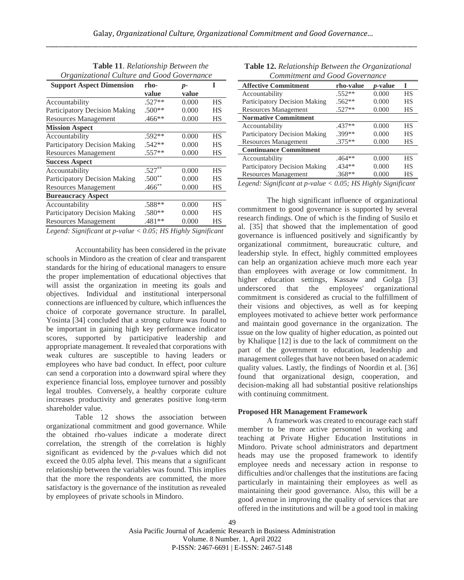| Organizational Culture and Good Governance                          |           |       |           |  |
|---------------------------------------------------------------------|-----------|-------|-----------|--|
| <b>Support Aspect Dimension</b>                                     | rho-      | $p-$  | T         |  |
|                                                                     | value     | value |           |  |
| Accountability                                                      | $.527**$  | 0.000 | НS        |  |
| Participatory Decision Making                                       | .500**    | 0.000 | НS        |  |
| <b>Resources Management</b>                                         | .466**    | 0.000 | НS        |  |
| <b>Mission Aspect</b>                                               |           |       |           |  |
| Accountability                                                      | $.592**$  | 0.000 | НS        |  |
| Participatory Decision Making                                       | .542**    | 0.000 | НS        |  |
| <b>Resources Management</b>                                         | .557**    | 0.000 | НS        |  |
| <b>Success Aspect</b>                                               |           |       |           |  |
| Accountability                                                      | $.527***$ | 0.000 | <b>HS</b> |  |
| Participatory Decision Making                                       | $.500**$  | 0.000 | НS        |  |
| <b>Resources Management</b>                                         | $.466$ ** | 0.000 | НS        |  |
| <b>Bureaucracy Aspect</b>                                           |           |       |           |  |
| Accountability                                                      | .588**    | 0.000 | <b>HS</b> |  |
| Participatory Decision Making                                       | .580**    | 0.000 | НS        |  |
| <b>Resources Management</b>                                         | .481**    | 0.000 | НS        |  |
| Leaguel: Significant at p value $\geq 0.05$ ; HS Highly Significant |           |       |           |  |

**Table 11**. *Relationship Between the Organizational Culture and Good Governance*

*Legend: Significant at p-value < 0.05; HS Highly Significant*

Accountability has been considered in the private schools in Mindoro as the creation of clear and transparent standards for the hiring of educational managers to ensure the proper implementation of educational objectives that will assist the organization in meeting its goals and objectives. Individual and institutional interpersonal connections are influenced by culture, which influences the choice of corporate governance structure. In parallel, Yosinta [34] concluded that a strong culture was found to be important in gaining high key performance indicator scores, supported by participative leadership and appropriate management. It revealed that corporations with weak cultures are susceptible to having leaders or employees who have bad conduct. In effect, poor culture can send a corporation into a downward spiral where they experience financial loss, employee turnover and possibly legal troubles. Conversely, a healthy corporate culture increases productivity and generates positive long-term shareholder value.

Table 12 shows the association between organizational commitment and good governance. While the obtained rho-values indicate a moderate direct correlation, the strength of the correlation is highly significant as evidenced by the *p*-values which did not exceed the 0.05 alpha level. This means that a significant relationship between the variables was found. This implies that the more the respondents are committed, the more satisfactory is the governance of the institution as revealed by employees of private schools in Mindoro.

**Table 12.** *Relationship Between the Organizational Commitment and Good Governance*

| Сонитинсти ини Обои Обтенинсс |           |                 |    |  |
|-------------------------------|-----------|-----------------|----|--|
| <b>Affective Commitment</b>   | rho-value | <i>p</i> -value | T  |  |
| Accountability                | $.552**$  | 0.000           | НS |  |
| Participatory Decision Making | $.562**$  | 0.000           | HS |  |
| <b>Resources Management</b>   | $.527**$  | 0.000           | НS |  |
| <b>Normative Commitment</b>   |           |                 |    |  |
| Accountability                | $.437**$  | 0.000           | HS |  |
| Participatory Decision Making | .399**    | 0.000           | HS |  |
| <b>Resources Management</b>   | $.375**$  | 0.000           | НS |  |
| <b>Continuance Commitment</b> |           |                 |    |  |
| Accountability                | $.464**$  | 0.000           | НS |  |
| Participatory Decision Making | $.434**$  | 0.000           | HS |  |
| <b>Resources Management</b>   | $.368**$  | 0.000           | НS |  |
|                               |           |                 |    |  |

*Legend: Significant at p-value < 0.05; HS Highly Significant*

The high significant influence of organizational commitment to good governance is supported by several research findings. One of which is the finding of Susilo et al. [35] that showed that the implementation of good governance is influenced positively and significantly by organizational commitment, bureaucratic culture, and leadership style. In effect, highly committed employees can help an organization achieve much more each year than employees with average or low commitment. In higher education settings, Kassaw and Golga [3] underscored that the employees' organizational commitment is considered as crucial to the fulfillment of their visions and objectives, as well as for keeping employees motivated to achieve better work performance and maintain good governance in the organization. The issue on the low quality of higher education, as pointed out by Khalique [12] is due to the lack of commitment on the part of the government to education, leadership and management colleges that have not been based on academic quality values. Lastly, the findings of Noordin et al. [36] found that organizational design, cooperation, and decision-making all had substantial positive relationships with continuing commitment.

## **Proposed HR Management Framework**

A framework was created to encourage each staff member to be more active personnel in working and teaching at Private Higher Education Institutions in Mindoro. Private school administrators and department heads may use the proposed framework to identify employee needs and necessary action in response to difficulties and/or challenges that the institutions are facing particularly in maintaining their employees as well as maintaining their good governance. Also, this will be a good avenue in improving the quality of services that are offered in the institutions and will be a good tool in making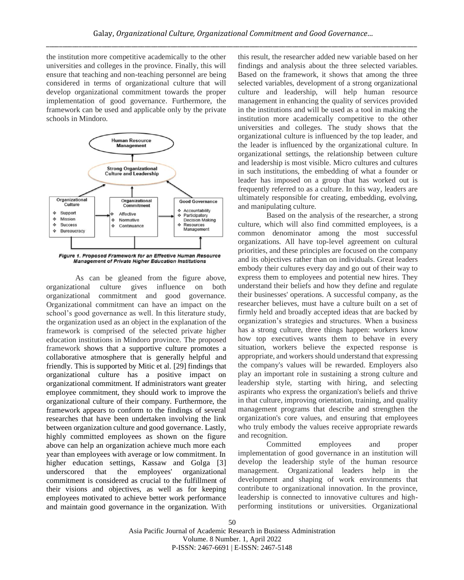the institution more competitive academically to the other universities and colleges in the province. Finally, this will ensure that teaching and non-teaching personnel are being considered in terms of organizational culture that will develop organizational commitment towards the proper implementation of good governance. Furthermore, the framework can be used and applicable only by the private schools in Mindoro.



**Management of Private Higher Education Institutions** 

As can be gleaned from the figure above, organizational culture gives influence on both organizational commitment and good governance. Organizational commitment can have an impact on the school's good governance as well. In this literature study, the organization used as an object in the explanation of the framework is comprised of the selected private higher education institutions in Mindoro province. The proposed framework shows that a supportive culture promotes a collaborative atmosphere that is generally helpful and friendly. This is supported by Mitic et al. [29] findings that organizational culture has a positive impact on organizational commitment. If administrators want greater employee commitment, they should work to improve the organizational culture of their company. Furthermore, the framework appears to conform to the findings of several researches that have been undertaken involving the link between organization culture and good governance. Lastly, highly committed employees as shown on the figure above can help an organization achieve much more each year than employees with average or low commitment. In higher education settings, Kassaw and Golga [3] underscored that the employees' organizational commitment is considered as crucial to the fulfillment of their visions and objectives, as well as for keeping employees motivated to achieve better work performance and maintain good governance in the organization. With this result, the researcher added new variable based on her findings and analysis about the three selected variables. Based on the framework, it shows that among the three selected variables, development of a strong organizational culture and leadership, will help human resource management in enhancing the quality of services provided in the institutions and will be used as a tool in making the institution more academically competitive to the other universities and colleges. The study shows that the organizational culture is influenced by the top leader, and the leader is influenced by the organizational culture. In organizational settings, the relationship between culture and leadership is most visible. Micro cultures and cultures in such institutions, the embedding of what a founder or leader has imposed on a group that has worked out is frequently referred to as a culture. In this way, leaders are ultimately responsible for creating, embedding, evolving, and manipulating culture.

Based on the analysis of the researcher, a strong culture, which will also find committed employees, is a common denominator among the most successful organizations. All have top-level agreement on cultural priorities, and these principles are focused on the company and its objectives rather than on individuals. Great leaders embody their cultures every day and go out of their way to express them to employees and potential new hires. They understand their beliefs and how they define and regulate their businesses' operations. A successful company, as the researcher believes, must have a culture built on a set of firmly held and broadly accepted ideas that are backed by organization's strategies and structures. When a business has a strong culture, three things happen: workers know how top executives wants them to behave in every situation, workers believe the expected response is appropriate, and workers should understand that expressing the company's values will be rewarded. Employers also play an important role in sustaining a strong culture and leadership style, starting with hiring, and selecting aspirants who express the organization's beliefs and thrive in that culture, improving orientation, training, and quality management programs that describe and strengthen the organization's core values, and ensuring that employees who truly embody the values receive appropriate rewards and recognition.

Committed employees and proper implementation of good governance in an institution will develop the leadership style of the human resource management. Organizational leaders help in the development and shaping of work environments that contribute to organizational innovation. In the province, leadership is connected to innovative cultures and highperforming institutions or universities. Organizational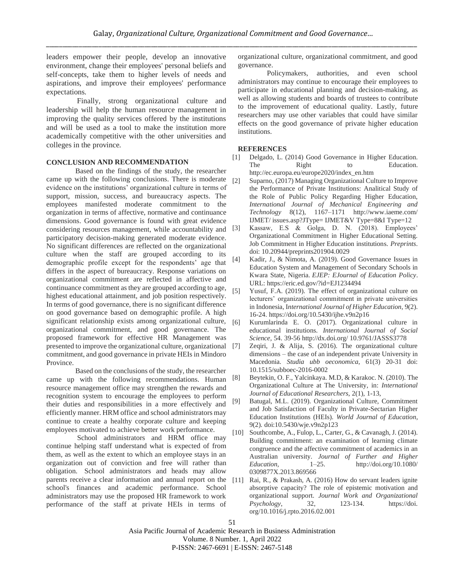leaders empower their people, develop an innovative environment, change their employees' personal beliefs and self-concepts, take them to higher levels of needs and aspirations, and improve their employees' performance expectations.

Finally, strong organizational culture and leadership will help the human resource management in improving the quality services offered by the institutions and will be used as a tool to make the institution more academically competitive with the other universities and colleges in the province.

#### **CONCLUSION AND RECOMMENDATION**

Based on the findings of the study, the researcher came up with the following conclusions. There is moderate [2] evidence on the institutions' organizational culture in terms of support, mission, success, and bureaucracy aspects. The employees manifested moderate commitment to the organization in terms of affective, normative and continuance dimensions. Good governance is found with great evidence considering resources management, while accountability and [3] participatory decision-making generated moderate evidence. No significant differences are reflected on the organizational culture when the staff are grouped according to its demographic profile except for the respondents' age that differs in the aspect of bureaucracy. Response variations on organizational commitment are reflected in affective and continuance commitment as they are grouped according to age,  $\frac{51}{2}$ highest educational attainment, and job position respectively. In terms of good governance, there is no significant difference on good governance based on demographic profile. A high significant relationship exists among organizational culture, [6] organizational commitment, and good governance. The proposed framework for effective HR Management was presented to improve the organizational culture, organizational commitment, and good governance in private HEIs in Mindoro Province.

Based on the conclusions of the study, the researcher came up with the following recommendations. Human  $[8]$ resource management office may strengthen the rewards and recognition system to encourage the employees to perform their duties and responsibilities in a more effectively and efficiently manner. HRM office and school administrators may continue to create a healthy corporate culture and keeping employees motivated to achieve better work performance.

School administrators and HRM office may continue helping staff understand what is expected of from them, as well as the extent to which an employee stays in an organization out of conviction and free will rather than obligation. School administrators and heads may allow parents receive a clear information and annual report on the school's finances and academic performance. School administrators may use the proposed HR framework to work performance of the staff at private HEIs in terms of

organizational culture, organizational commitment, and good governance.

Policymakers, authorities, and even school administrators may continue to encourage their employees to participate in educational planning and decision-making, as well as allowing students and boards of trustees to contribute to the improvement of educational quality. Lastly, future researchers may use other variables that could have similar effects on the good governance of private higher education institutions.

## **REFERENCES**

- [1] Delgado, L. (2014) Good Governance in Higher Education. The Right to Education. http://ec.europa.eu/europe2020/index\_en.htm
- Suparno, (2017) Managing Organizational Culture to Improve the Performance of Private Institutions: Analitical Study of the Role of Public Policy Regarding Higher Education, *International Journal of Mechanical Engineering and Technology* 8(12), 1167–1171 http://www.iaeme.com/ IJMET/ issues.asp?JType= IJMET&V Type=8&I Type=12
- Kassaw, E.S & Golga, D. N. (2018). Employees' Organizational Commitment in Higher Educational Setting. Job Commitment in Higher Education institutions. *Preprints*. doi: 10.20944/preprints201904.0029
- [4] Kadir, J., & Nimota, A. (2019). Good Governance Issues in Education System and Management of Secondary Schools in Kwara State, Nigeria. *EJEP: EJournal of Education Policy*. URL: https://eric.ed.gov/?id=EJ1234494
- Yusuf, F.A. (2019). The effect of organizational culture on lecturers' organizational commitment in private universities in Indonesia, I*nternational Journal of Higher Education,* 9(2). 16-24. <https://doi.org/10.5430/ijhe.v9n2p16>
- Kurumlarinda E. O. (2017). Organizational culture in educational institutions. *International Journal of Social Science,* 54. 39-56 http://dx.doi.org/ 10.9761/JASSS3778
- Zeqiri, J. & Alija, S. (2016). The organizational culture dimensions – the case of an independent private University in Macedonia. *Studia ubb oeconomica*, 61(3) 20-31 doi: 10.1515/subboec-2016-0002
- Beytekin, O. F., Yalcinkaya. M.D, & Karakoc. N. (2010). The Organizational Culture at The University, in: *International Journal of Educational Researchers*, 2(1), 1-13,
- Batugal, M.L. (2019). Organizational Culture, Commitment and Job Satisfaction of Faculty in Private-Sectarian Higher Education Institutions (HEIs). *World Journal of Education*, 9(2). doi:10.5430/wje.v9n2p123
- [10] Southcombe, A., Fulop, L., Carter, G., & Cavanagh, J. (2014). Building commitment: an examination of learning climate congruence and the affective commitment of academics in an Australian university. *Journal of Further and Higher Education,* 1–25. http://doi.org/10.1080/ 0309877X.2013.869566
- [11] Rai, R., & Prakash, A. (2016) How do servant leaders ignite absorptive capacity? The role of epistemic motivation and organizational support. *Journal Work and Organizational Psychology*, 32, 123-134. https://doi. org/10.1016/j.rpto.2016.02.001